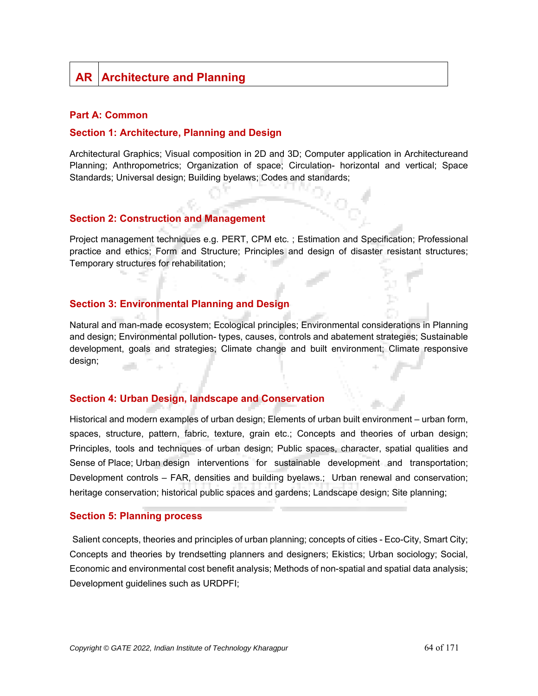# **AR Architecture and Planning**

#### **Part A: Common**

#### **Section 1: Architecture, Planning and Design**

Architectural Graphics; Visual composition in 2D and 3D; Computer application in Architectureand Planning; Anthropometrics; Organization of space; Circulation- horizontal and vertical; Space Standards; Universal design; Building byelaws; Codes and standards;

#### **Section 2: Construction and Management**

Project management techniques e.g. PERT, CPM etc. ; Estimation and Specification; Professional practice and ethics; Form and Structure; Principles and design of disaster resistant structures; Temporary structures for rehabilitation;

#### **Section 3: Environmental Planning and Design**

Natural and man-made ecosystem; Ecological principles; Environmental considerations in Planning and design; Environmental pollution- types, causes, controls and abatement strategies; Sustainable development, goals and strategies; Climate change and built environment; Climate responsive design;

#### **Section 4: Urban Design, landscape and Conservation**

Historical and modern examples of urban design; Elements of urban built environment – urban form, spaces, structure, pattern, fabric, texture, grain etc.; Concepts and theories of urban design; Principles, tools and techniques of urban design; Public spaces, character, spatial qualities and Sense of Place; Urban design interventions for sustainable development and transportation; Development controls – FAR, densities and building byelaws.; Urban renewal and conservation; heritage conservation; historical public spaces and gardens; Landscape design; Site planning;

#### **Section 5: Planning process**

Salient concepts, theories and principles of urban planning; concepts of cities - Eco-City, Smart City; Concepts and theories by trendsetting planners and designers; Ekistics; Urban sociology; Social, Economic and environmental cost benefit analysis; Methods of non-spatial and spatial data analysis; Development guidelines such as URDPFI;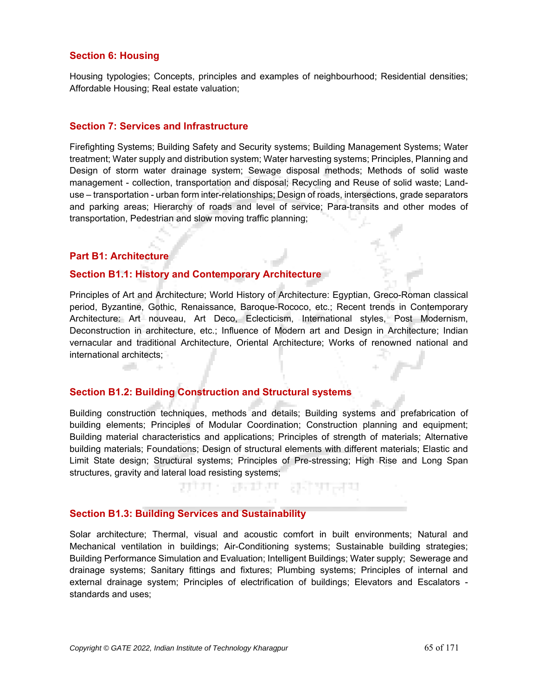## **Section 6: Housing**

Housing typologies; Concepts, principles and examples of neighbourhood; Residential densities; Affordable Housing; Real estate valuation;

#### **Section 7: Services and Infrastructure**

Firefighting Systems; Building Safety and Security systems; Building Management Systems; Water treatment; Water supply and distribution system; Water harvesting systems; Principles, Planning and Design of storm water drainage system; Sewage disposal methods; Methods of solid waste management - collection, transportation and disposal; Recycling and Reuse of solid waste; Landuse – transportation - urban form inter-relationships; Design of roads, intersections, grade separators and parking areas; Hierarchy of roads and level of service; Para-transits and other modes of transportation, Pedestrian and slow moving traffic planning;

#### **Part B1: Architecture**

الألبان

#### **Section B1.1: History and Contemporary Architecture**

Principles of Art and Architecture; World History of Architecture: Egyptian, Greco-Roman classical period, Byzantine, Gothic, Renaissance, Baroque-Rococo, etc.; Recent trends in Contemporary Architecture: Art nouveau, Art Deco, Eclecticism, International styles, Post Modernism, Deconstruction in architecture, etc.; Influence of Modern art and Design in Architecture; Indian vernacular and traditional Architecture, Oriental Architecture; Works of renowned national and international architects;

# **Section B1.2: Building Construction and Structural systems**

Building construction techniques, methods and details; Building systems and prefabrication of building elements; Principles of Modular Coordination; Construction planning and equipment; Building material characteristics and applications; Principles of strength of materials; Alternative building materials; Foundations; Design of structural elements with different materials; Elastic and Limit State design; Structural systems; Principles of Pre-stressing; High Rise and Long Span structures, gravity and lateral load resisting systems;

ਸ਼ਾਸ : ਲਬਾਰ ਲਹਰਜ

#### **Section B1.3: Building Services and Sustainability**

Solar architecture; Thermal, visual and acoustic comfort in built environments; Natural and Mechanical ventilation in buildings; Air-Conditioning systems; Sustainable building strategies; Building Performance Simulation and Evaluation; Intelligent Buildings; Water supply; Sewerage and drainage systems; Sanitary fittings and fixtures; Plumbing systems; Principles of internal and external drainage system; Principles of electrification of buildings; Elevators and Escalators standards and uses;